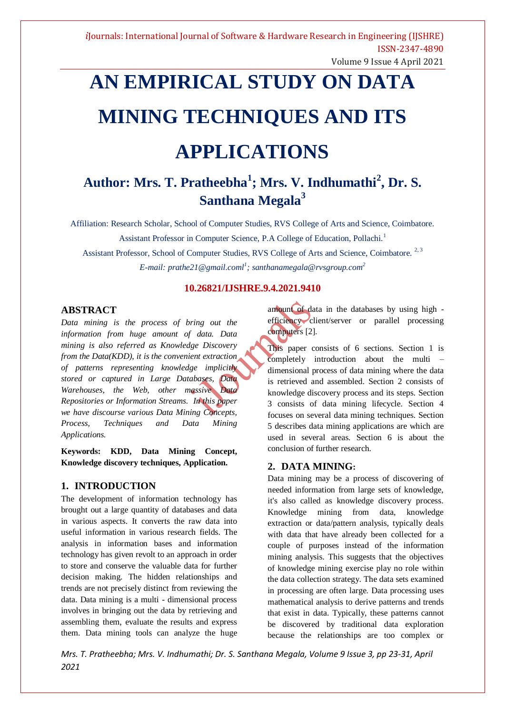# **AN EMPIRICAL STUDY ON DATA MINING TECHNIQUES AND ITS**

## **APPLICATIONS**

## **Author: Mrs. T. Pratheebha<sup>1</sup> ; Mrs. V. Indhumathi<sup>2</sup> , Dr. S. Santhana Megala<sup>3</sup>**

Affiliation: Research Scholar, School of Computer Studies, RVS College of Arts and Science, Coimbatore.

Assistant Professor in Computer Science, P.A College of Education, Pollachi.<sup>1</sup>

Assistant Professor, School of Computer Studies, RVS College of Arts and Science, Coimbatore.<sup>2, 3</sup> *E-mail: prathe21@gmail.coml<sup>1</sup> ; santhanamegala@rvsgroup.com<sup>2</sup>*

## **10.26821/IJSHRE.9.4.2021.9410**

## **ABSTRACT**

*Data mining is the process of bring out the information from huge amount of data. Data mining is also referred as Knowledge Discovery from the Data(KDD), it is the convenient extraction of patterns representing knowledge implicitly stored or captured in Large Databases, Data Warehouses, the Web, other massive Data Repositories or Information Streams. In this paper we have discourse various Data Mining Concepts, Process, Techniques and Data Mining Applications.*

**Keywords: KDD, Data Mining Concept, Knowledge discovery techniques, Application.**

## **1. INTRODUCTION**

The development of information technology has brought out a large quantity of databases and data in various aspects. It converts the raw data into useful information in various research fields. The analysis in information bases and information technology has given revolt to an approach in order to store and conserve the valuable data for further decision making. The hidden relationships and trends are not precisely distinct from reviewing the data. Data mining is a multi - dimensional process involves in bringing out the data by retrieving and assembling them, evaluate the results and express them. Data mining tools can analyze the huge

amount of data in the databases by using high efficiency client/server or parallel processing computers [2].

This paper consists of 6 sections. Section 1 is completely introduction about the multi – dimensional process of data mining where the data is retrieved and assembled. Section 2 consists of knowledge discovery process and its steps. Section 3 consists of data mining lifecycle. Section 4 focuses on several data mining techniques. Section 5 describes data mining applications are which are used in several areas. Section 6 is about the conclusion of further research.

## **2. DATA MINING:**

Data mining may be a process of discovering of needed information from large sets of knowledge, it's also called as knowledge discovery process. Knowledge mining from data, knowledge extraction or data/pattern analysis, typically deals with data that have already been collected for a couple of purposes instead of the information mining analysis. This suggests that the objectives of knowledge mining exercise play no role within the data collection strategy. The data sets examined in processing are often large. Data processing uses mathematical analysis to derive patterns and trends that exist in data. Typically, these patterns cannot be discovered by traditional data exploration because the relationships are too complex or

*Mrs. T. Pratheebha; Mrs. V. Indhumathi; Dr. S. Santhana Megala, Volume 9 Issue 3, pp 23-31, April 2021*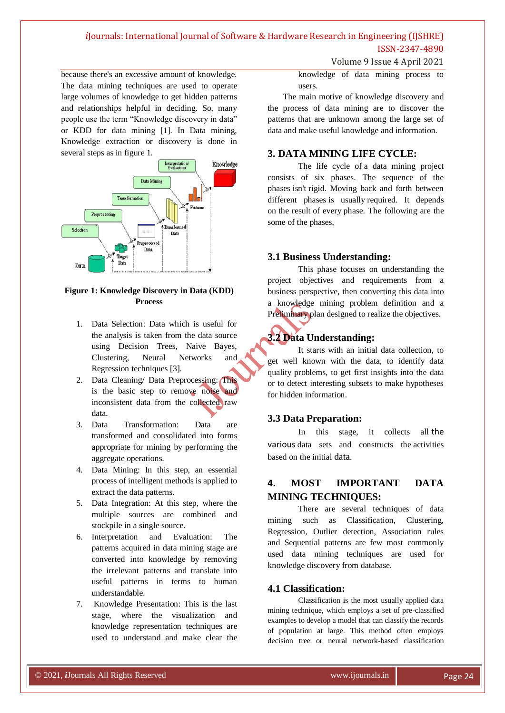Volume 9 Issue 4 April 2021

because there's an excessive amount of knowledge. The data mining techniques are used to operate large volumes of knowledge to get hidden patterns and relationships helpful in deciding. So, many people use the term "Knowledge discovery in data" or KDD for data mining [1]. In Data mining, Knowledge extraction or discovery is done in several steps as in figure 1.



## **Figure 1: Knowledge Discovery in Data (KDD) Process**

- 1. Data Selection: Data which is useful for the analysis is taken from the data source using Decision Trees, Naive Bayes, Clustering, Neural Networks and Regression techniques [3].
- 2. Data Cleaning/ Data Preprocessing: This is the basic step to remove noise and inconsistent data from the collected raw data.
- 3. Data Transformation: Data are transformed and consolidated into forms appropriate for mining by performing the aggregate operations.
- 4. Data Mining: In this step, an essential process of intelligent methods is applied to extract the data patterns.
- 5. Data Integration: At this step, where the multiple sources are combined and stockpile in a single source.
- 6. Interpretation and Evaluation: The patterns acquired in data mining stage are converted into knowledge by removing the irrelevant patterns and translate into useful patterns in terms to human understandable.
- 7. Knowledge Presentation: This is the last stage, where the visualization and knowledge representation techniques are used to understand and make clear the

knowledge of data mining process to users.

The main motive of knowledge discovery and the process of data mining are to discover the patterns that are unknown among the large set of data and make useful knowledge and information.

## **3. DATA MINING LIFE CYCLE:**

The life cycle of a data mining project consists of six phases. The sequence of the phases isn't rigid. Moving back and forth between different phases is usually required. It depends on the result of every phase. The following are the some of the phases,

## **3.1 Business Understanding:**

This phase focuses on understanding the project objectives and requirements from a business perspective, then converting this data into a knowledge mining problem definition and a Preliminary plan designed to realize the objectives.

## **3.2 Data Understanding:**

It starts with an initial data collection, to get well known with the data, to identify data quality problems, to get first insights into the data or to detect interesting subsets to make hypotheses for hidden information.

## **3.3 Data Preparation:**

In this stage, it collects all the various data sets and constructs the activities based on the initial data.

## **4. MOST IMPORTANT DATA MINING TECHNIQUES:**

There are several techniques of data mining such as Classification, Clustering, Regression, Outlier detection, Association rules and Sequential patterns are few most commonly used data mining techniques are used for knowledge discovery from database.

## **4.1 Classification:**

Classification is the most usually applied data mining technique, which employs a set of pre-classified examples to develop a model that can classify the records of population at large. This method often employs decision tree or neural network-based classification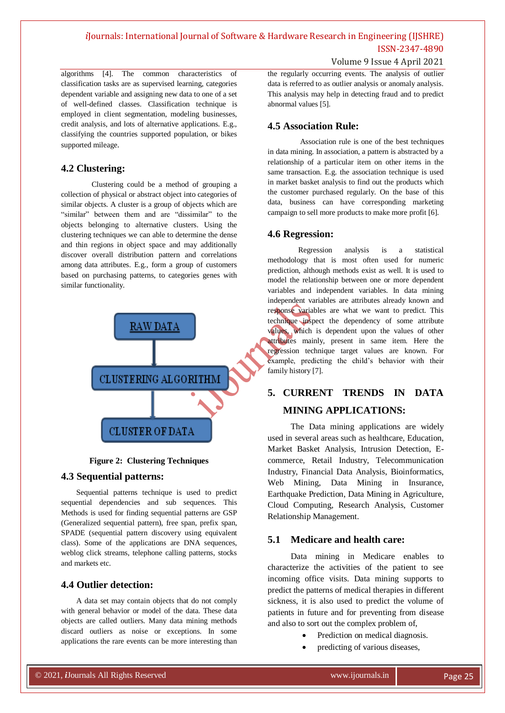Volume 9 Issue 4 April 2021

algorithms [4]. The common characteristics of classification tasks are as supervised learning, categories dependent variable and assigning new data to one of a set of well-defined classes. Classification technique is employed in client segmentation, modeling businesses, credit analysis, and lots of alternative applications. E.g., classifying the countries supported population, or bikes supported mileage.

## **4.2 Clustering:**

Clustering could be a method of grouping a collection of physical or abstract object into categories of similar objects. A cluster is a group of objects which are "similar" between them and are "dissimilar" to the objects belonging to alternative clusters. Using the clustering techniques we can able to determine the dense and thin regions in object space and may additionally discover overall distribution pattern and correlations among data attributes. E.g., form a group of customers based on purchasing patterns, to categories genes with similar functionality.





## **4.3 Sequential patterns:**

Sequential patterns technique is used to predict sequential dependencies and sub sequences. This Methods is used for finding sequential patterns are GSP (Generalized sequential pattern), free span, prefix span, SPADE (sequential pattern discovery using equivalent class). Some of the applications are DNA sequences, weblog click streams, telephone calling patterns, stocks and markets etc.

## **4.4 Outlier detection:**

A data set may contain objects that do not comply with general behavior or model of the data. These data objects are called outliers. Many data mining methods discard outliers as noise or exceptions. In some applications the rare events can be more interesting than the regularly occurring events. The analysis of outlier data is referred to as outlier analysis or anomaly analysis. This analysis may help in detecting fraud and to predict abnormal values [5].

## **4.5 Association Rule:**

Association rule is one of the best techniques in data mining. In association, a pattern is abstracted by a relationship of a particular item on other items in the same transaction. E.g. the association technique is used in market basket analysis to find out the products which the customer purchased regularly. On the base of this data, business can have corresponding marketing campaign to sell more products to make more profit [6].

## **4.6 Regression:**

Regression analysis is a statistical methodology that is most often used for numeric prediction, although methods exist as well. It is used to model the relationship between one or more dependent variables and independent variables. In data mining independent variables are attributes already known and response variables are what we want to predict. This technique inspect the dependency of some attribute values, which is dependent upon the values of other attributes mainly, present in same item. Here the regression technique target values are known. For example, predicting the child"s behavior with their family history [7].

## **5. CURRENT TRENDS IN DATA MINING APPLICATIONS:**

The Data mining applications are widely used in several areas such as healthcare, Education, Market Basket Analysis, Intrusion Detection, Ecommerce, Retail Industry, Telecommunication Industry, Financial Data Analysis, Bioinformatics, Web Mining, Data Mining in Insurance, Earthquake Prediction, Data Mining in Agriculture, Cloud Computing, Research Analysis, Customer Relationship Management.

## **5.1 Medicare and health care:**

Data mining in Medicare enables to characterize the activities of the patient to see incoming office visits. Data mining supports to predict the patterns of medical therapies in different sickness, it is also used to predict the volume of patients in future and for preventing from disease and also to sort out the complex problem of,

- Prediction on medical diagnosis.
- predicting of various diseases,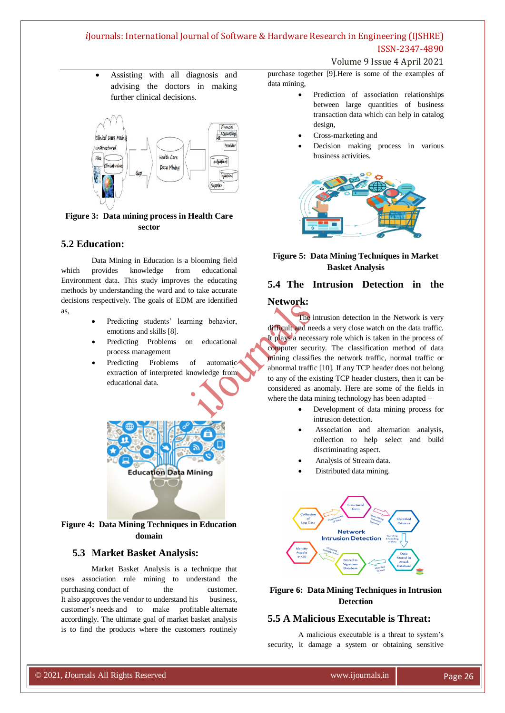Volume 9 Issue 4 April 2021

 Assisting with all diagnosis and advising the doctors in making further clinical decisions.



## **Figure 3: Data mining process in Health Care sector**

## **5.2 Education:**

Data Mining in Education is a blooming field which provides knowledge from educational Environment data. This study improves the educating methods by understanding the ward and to take accurate decisions respectively. The goals of EDM are identified as,

- Predicting students' learning behavior, emotions and skills [8].
- Predicting Problems on educational process management
- Predicting Problems of automatic extraction of interpreted knowledge from educational data.



**Figure 4: Data Mining Techniques in Education domain**

## **5.3 Market Basket Analysis:**

Market Basket Analysis is a technique that uses association rule mining to understand the purchasing conduct of the customer. It also approves the vendor to understand his business, customer"s needs and to make profitable alternate accordingly. The ultimate goal of market basket analysis is to find the products where the customers routinely

purchase together [9].Here is some of the examples of data mining,

- Prediction of association relationships between large quantities of business transaction data which can help in catalog design,
- Cross-marketing and
- Decision making process in various business activities.



## **Figure 5: Data Mining Techniques in Market Basket Analysis**

# **5.4 The Intrusion Detection in the**

## **Network:**

The intrusion detection in the Network is very difficult and needs a very close watch on the data traffic. It plays a necessary role which is taken in the process of computer security. The classification method of data mining classifies the network traffic, normal traffic or abnormal traffic [10]. If any TCP header does not belong to any of the existing TCP header clusters, then it can be considered as anomaly. Here are some of the fields in where the data mining technology has been adapted −

- Development of data mining process for intrusion detection.
- Association and alternation analysis, collection to help select and build discriminating aspect.
- Analysis of Stream data.
- Distributed data mining.



## **Figure 6: Data Mining Techniques in Intrusion Detection**

## **5.5 A Malicious Executable is Threat:**

A malicious executable is a threat to system"s security, it damage a system or obtaining sensitive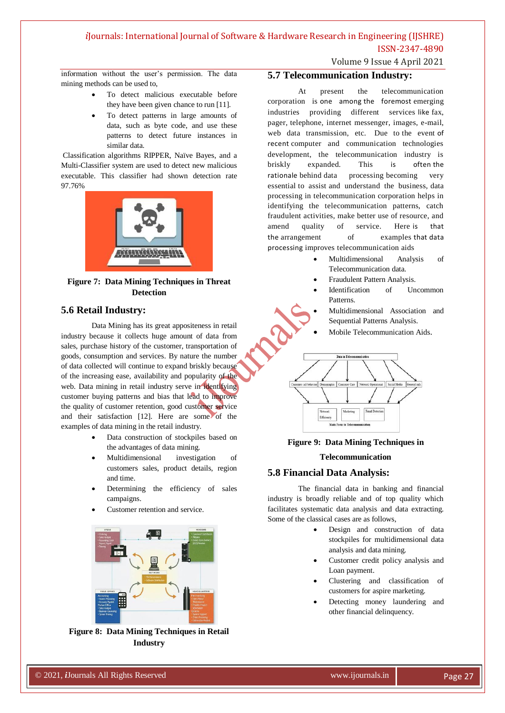Volume 9 Issue 4 April 2021

information without the user"s permission. The data mining methods can be used to,

- To detect malicious executable before they have been given chance to run [11].
- To detect patterns in large amounts of data, such as byte code, and use these patterns to detect future instances in similar data.

Classification algorithms RIPPER, Naïve Bayes, and a Multi-Classifier system are used to detect new malicious executable. This classifier had shown detection rate 97.76%



**Figure 7: Data Mining Techniques in Threat Detection**

## **5.6 Retail Industry:**

Data Mining has its great appositeness in retail industry because it collects huge amount of data from sales, purchase history of the customer, transportation of goods, consumption and services. By nature the number of data collected will continue to expand briskly because of the increasing ease, availability and popularity of the web. Data mining in retail industry serve in identifying customer buying patterns and bias that lead to improve the quality of customer retention, good customer service and their satisfaction [12]. Here are some of the examples of data mining in the retail industry.

- Data construction of stockpiles based on the advantages of data mining.
- Multidimensional investigation of customers sales, product details, region and time.
- Determining the efficiency of sales campaigns.
- Customer retention and service.



**Figure 8: Data Mining Techniques in Retail Industry**

## **5.7 Telecommunication Industry:**

At present the telecommunication corporation is one among the foremost emerging industries providing different services like fax, pager, telephone, internet messenger, images, e-mail, web data transmission, etc. Due to the event of recent computer and communication technologies development, the telecommunication industry is briskly expanded. This is often the rationale behind data processing becoming very essential to assist and understand the business, data processing in telecommunication corporation helps in identifying the telecommunication patterns, catch fraudulent activities, make better use of resource, and amend quality of service. Here is that the arrangement of examples that data processing improves telecommunication aids

- Multidimensional Analysis of Telecommunication data.
- Fraudulent Pattern Analysis.
- Identification of Uncommon Patterns.
- Multidimensional Association and Sequential Patterns Analysis.
- Mobile Telecommunication Aids.



**Figure 9: Data Mining Techniques in Telecommunication**

## **5.8 Financial Data Analysis:**

The financial data in banking and financial industry is broadly reliable and of top quality which facilitates systematic data analysis and data extracting. Some of the classical cases are as follows,

- Design and construction of data stockpiles for multidimensional data analysis and data mining.
- Customer credit policy analysis and Loan payment.
- Clustering and classification of customers for aspire marketing.
- Detecting money laundering and other financial delinquency.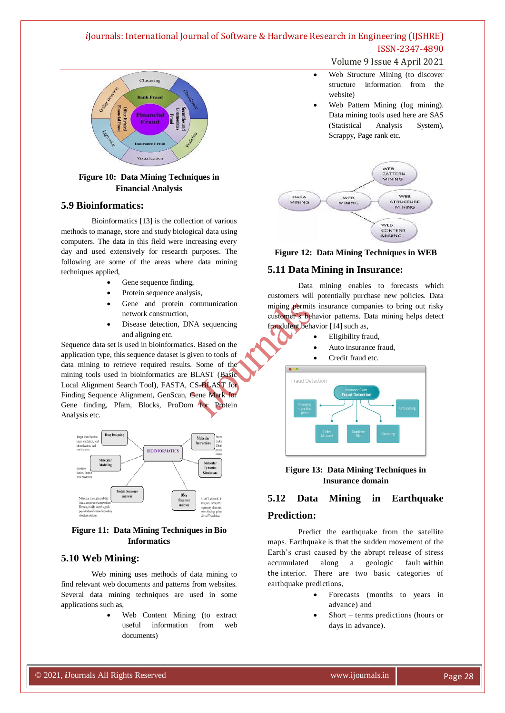

## **Figure 10: Data Mining Techniques in Financial Analysis**

#### **5.9 Bioinformatics:**

Bioinformatics [13] is the collection of various methods to manage, store and study biological data using computers. The data in this field were increasing every day and used extensively for research purposes. The following are some of the areas where data mining techniques applied,

- Gene sequence finding,
- Protein sequence analysis,
- Gene and protein communication network construction,
- Disease detection, DNA sequencing and aligning etc.

Sequence data set is used in bioinformatics. Based on the application type, this sequence dataset is given to tools of data mining to retrieve required results. Some of the mining tools used in bioinformatics are BLAST (Basic Local Alignment Search Tool), FASTA, CS-BLAST for Finding Sequence Alignment, GenScan, Gene Mark for Gene finding, Pfam, Blocks, ProDom for Protein Analysis etc.



#### **Figure 11: Data Mining Techniques in Bio Informatics**

## **5.10 Web Mining:**

Web mining uses methods of data mining to find relevant web documents and patterns from websites. Several data mining techniques are used in some applications such as,

> Web Content Mining (to extract useful information from web documents)

#### Volume 9 Issue 4 April 2021

- Web Structure Mining (to discover structure information from the website)
- Web Pattern Mining (log mining). Data mining tools used here are SAS (Statistical Analysis System), Scrappy, Page rank etc.



#### **Figure 12: Data Mining Techniques in WEB**

#### **5.11 Data Mining in Insurance:**

Data mining enables to forecasts which customers will potentially purchase new policies. Data mining permits insurance companies to bring out risky customer"s behavior patterns. Data mining helps detect fraudulent behavior [14] such as,

- Eligibility fraud,
- Auto insurance fraud,
- Credit fraud etc.



#### **Figure 13: Data Mining Techniques in Insurance domain**

## **5.12 Data Mining in Earthquake**

#### **Prediction:**

Predict the earthquake from the satellite maps. Earthquake is that the sudden movement of the Earth"s crust caused by the abrupt release of stress accumulated along a geologic fault within the interior. There are two basic categories of earthquake predictions,

- Forecasts (months to years in advance) and
- Short terms predictions (hours or days in advance).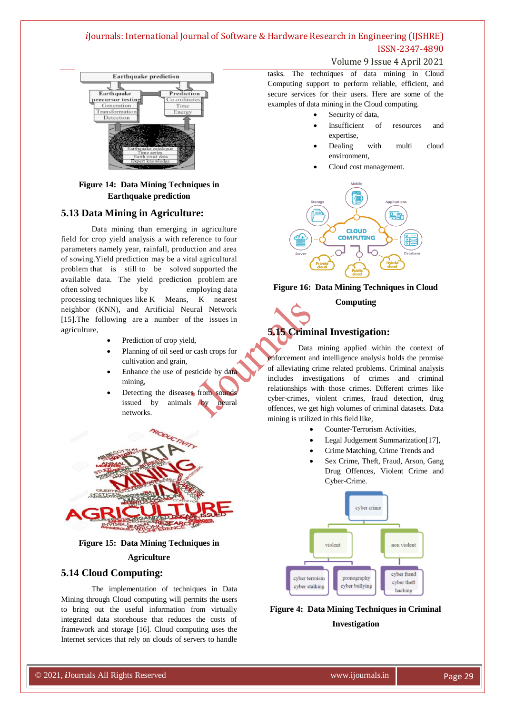



## **Figure 14: Data Mining Techniques in Earthquake prediction**

## **5.13 Data Mining in Agriculture:**

Data mining than emerging in agriculture field for crop yield analysis a with reference to four parameters namely year, rainfall, production and area of sowing.Yield prediction may be a vital agricultural problem that is still to be solved supported the available data. The yield prediction problem are often solved by employing data processing techniques like K Means, K nearest neighbor (KNN), and Artificial Neural Network [15].The following are a number of the issues in agriculture,

- Prediction of crop yield,
- Planning of oil seed or cash crops for cultivation and grain,
- Enhance the use of pesticide by data mining,
- Detecting the diseases from sounds issued by animals by neural networks.



#### **Figure 15: Data Mining Techniques in**

#### **Agriculture**

## **5.14 Cloud Computing:**

The implementation of techniques in Data Mining through Cloud computing will permits the users to bring out the useful information from virtually integrated data storehouse that reduces the costs of framework and storage [16]. Cloud computing uses the Internet services that rely on clouds of servers to handle

tasks. The techniques of data mining in Cloud Computing support to perform reliable, efficient, and secure services for their users. Here are some of the examples of data mining in the Cloud computing.

- Security of data,
- Insufficient of resources and expertise,
- Dealing with multi cloud environment,
- Cloud cost management.



#### **Figure 16: Data Mining Techniques in Cloud**

#### **Computing**

## **5.15 Criminal Investigation:**

Data mining applied within the context of enforcement and intelligence analysis holds the promise of alleviating crime related problems. Criminal analysis includes investigations of crimes and criminal relationships with those crimes. Different crimes like cyber-crimes, violent crimes, fraud detection, drug offences, we get high volumes of criminal datasets. Data mining is utilized in this field like,

- Counter-Terrorism Activities,
- Legal Judgement Summarization[17],
- Crime Matching, Crime Trends and
- Sex Crime, Theft, Fraud, Arson, Gang Drug Offences, Violent Crime and Cyber-Crime.



**Figure 4: Data Mining Techniques in Criminal Investigation**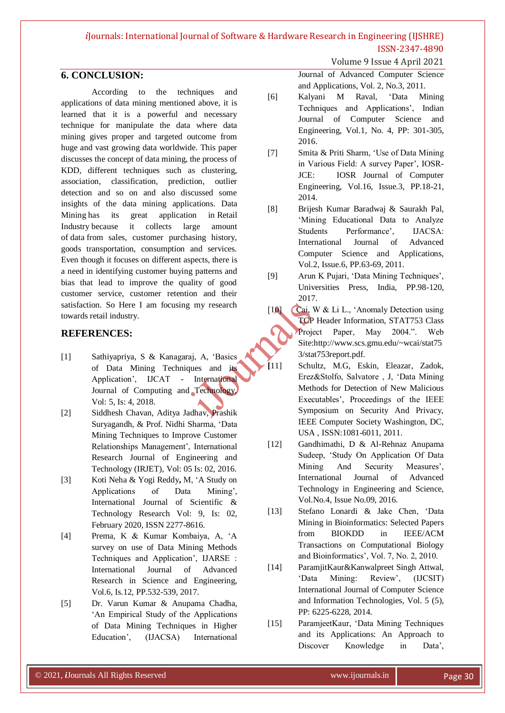#### Volume 9 Issue 4 April 2021

## **6. CONCLUSION:**

According to the techniques and applications of data mining mentioned above, it is learned that it is a powerful and necessary technique for manipulate the data where data mining gives proper and targeted outcome from huge and vast growing data worldwide. This paper discusses the concept of data mining, the process of KDD, different techniques such as clustering, association, classification, prediction, outlier detection and so on and also discussed some insights of the data mining applications. Data Mining has its great application in Retail Industry because it collects large amount of data from sales, customer purchasing history, goods transportation, consumption and services. Even though it focuses on different aspects, there is a need in identifying customer buying patterns and bias that lead to improve the quality of good customer service, customer retention and their satisfaction. So Here I am focusing my research towards retail industry.

## **REFERENCES:**

- [1] Sathiyapriya, S & Kanagaraj, A, "Basics of Data Mining Techniques and its Application', IJCAT - International Journal of Computing and Technology, Vol: 5, Is: 4, 2018.
- [2] Siddhesh Chavan, Aditya Jadhav, Prashik Suryagandh, & Prof. Nidhi Sharma, "Data Mining Techniques to Improve Customer Relationships Management', International Research Journal of Engineering and Technology (IRJET), Vol: 05 Is: 02, 2016.
- [3] Koti Neha & Yogi Reddy**,** M, "A Study on Applications of Data Mining", International Journal of Scientific & Technology Research Vol: 9, Is: 02, February 2020, ISSN 2277-8616.
- [4] Prema, K & Kumar Kombaiya, A, "A survey on use of Data Mining Methods Techniques and Application', IJARSE : International Journal of Advanced Research in Science and Engineering, Vol.6, Is.12, PP.532-539, 2017.
- [5] Dr. Varun Kumar & Anupama Chadha, "An Empirical Study of the Applications of Data Mining Techniques in Higher Education", (IJACSA) International

Journal of Advanced Computer Science and Applications, Vol. 2, No.3, 2011.

- [6] Kalyani M Raval, "Data Mining Techniques and Applications', Indian Journal of Computer Science and Engineering, Vol.1, No. 4, PP: 301-305, 2016.
- [7] Smita & Priti Sharm, "Use of Data Mining in Various Field: A survey Paper', IOSR-JCE: IOSR Journal of Computer Engineering, Vol.16, Issue.3, PP.18-21, 2014.
- [8] Brijesh Kumar Baradwaj & Saurakh Pal, 'Mining Educational Data to Analyze Students Performance', IJACSA: International Journal of Advanced Computer Science and Applications, Vol.2, Issue.6, PP.63-69, 2011.
- [9] Arun K Pujari, "Data Mining Techniques", Universities Press, India, PP.98-120, 2017.
- [10] Cai, W & Li L., 'Anomaly Detection using TCP Header Information, STAT753 Class Project Paper, May 2004.". Web Site:http://www.scs.gmu.edu/~wcai/stat75 3/stat753report.pdf.
- **[**11] Schultz, M.G, Eskin, Eleazar, Zadok, Erez&Stolfo, Salvatore , J, "Data Mining Methods for Detection of New Malicious Executables", Proceedings of the IEEE Symposium on Security And Privacy, IEEE Computer Society Washington, DC, USA , ISSN:1081-6011, 2011.
- [12] Gandhimathi, D & Al-Rehnaz Anupama Sudeep, "Study On Application Of Data Mining And Security Measures', International Journal of Advanced Technology in Engineering and Science, Vol.No.4, Issue No.09, 2016.
- [13] Stefano Lonardi & Jake Chen, "Data Mining in Bioinformatics: Selected Papers from BIOKDD in IEEE/ACM Transactions on Computational Biology and Bioinformatics", Vol. 7, No. 2, 2010.
- [14] ParamjitKaur&Kanwalpreet Singh Attwal, 'Data Mining: Review', (IJCSIT) International Journal of Computer Science and Information Technologies, Vol. 5 (5), PP: 6225-6228, 2014.
- [15] ParamjeetKaur, "Data Mining Techniques and its Applications: An Approach to Discover Knowledge in Data',